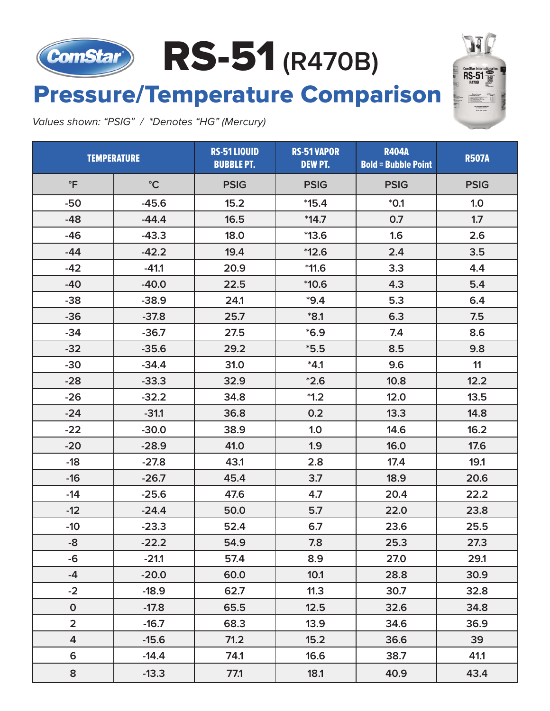# RS-51 (R470B)

## **Pressure/Temperature Comparison**

Values shown: "PSIG" / \*Denotes "HG" (Mercury)

| <b>TEMPERATURE</b> |                 | <b>RS-51 LIQUID</b><br><b>BUBBLE PT.</b> | <b>RS-51 VAPOR</b><br><b>DEW PT.</b> | <b>R404A</b><br><b>Bold = Bubble Point</b> | <b>R507A</b> |
|--------------------|-----------------|------------------------------------------|--------------------------------------|--------------------------------------------|--------------|
| $\mathsf{P}$       | $\rm ^{\circ}C$ | <b>PSIG</b>                              | <b>PSIG</b>                          | <b>PSIG</b>                                | <b>PSIG</b>  |
| $-50$              | $-45.6$         | 15.2                                     | $*15.4$                              | $*0.1$                                     | 1.0          |
| $-48$              | $-44.4$         | 16.5                                     | $*14.7$                              | 0.7                                        | 1.7          |
| $-46$              | $-43.3$         | 18.0                                     | $*13.6$                              | 1.6                                        | 2.6          |
| $-44$              | $-42.2$         | 19.4                                     | $*12.6$                              | 2.4                                        | 3.5          |
| $-42$              | $-41.1$         | 20.9                                     | $*11.6$                              | 3.3                                        | 4.4          |
| $-40$              | $-40.0$         | 22.5                                     | $*10.6$                              | 4.3                                        | 5.4          |
| $-38$              | $-38.9$         | 24.1                                     | $*9.4$                               | 5.3                                        | 6.4          |
| $-36$              | $-37.8$         | 25.7                                     | $*8.1$                               | 6.3                                        | 7.5          |
| $-34$              | $-36.7$         | 27.5                                     | $*6.9$                               | 7.4                                        | 8.6          |
| $-32$              | $-35.6$         | 29.2                                     | $*5.5$                               | 8.5                                        | 9.8          |
| $-30$              | $-34.4$         | 31.0                                     | $*4.1$                               | 9.6                                        | 11           |
| $-28$              | $-33.3$         | 32.9                                     | $*2.6$                               | 10.8                                       | 12.2         |
| $-26$              | $-32.2$         | 34.8                                     | $*1.2$                               | 12.0                                       | 13.5         |
| $-24$              | $-31.1$         | 36.8                                     | 0.2                                  | 13.3                                       | 14.8         |
| $-22$              | $-30.0$         | 38.9                                     | 1.0                                  | 14.6                                       | 16.2         |
| $-20$              | $-28.9$         | 41.0                                     | 1.9                                  | 16.0                                       | 17.6         |
| $-18$              | $-27.8$         | 43.1                                     | 2.8                                  | 17.4                                       | 19.1         |
| $-16$              | $-26.7$         | 45.4                                     | 3.7                                  | 18.9                                       | 20.6         |
| $-14$              | $-25.6$         | 47.6                                     | 4.7                                  | 20.4                                       | 22.2         |
| $-12$              | $-24.4$         | 50.0                                     | 5.7                                  | 22.0                                       | 23.8         |
| $-10$              | $-23.3$         | 52.4                                     | 6.7                                  | 23.6                                       | 25.5         |
| -8                 | $-22.2$         | 54.9                                     | 7.8                                  | 25.3                                       | 27.3         |
| -6                 | $-21.1$         | 57.4                                     | 8.9                                  | 27.0                                       | 29.1         |
| -4                 | $-20.0$         | 60.0                                     | 10.1                                 | 28.8                                       | 30.9         |
| $-2$               | $-18.9$         | 62.7                                     | 11.3                                 | 30.7                                       | 32.8         |
| $\mathbf{0}$       | $-17.8$         | 65.5                                     | 12.5                                 | 32.6                                       | 34.8         |
| $\overline{2}$     | $-16.7$         | 68.3                                     | 13.9                                 | 34.6                                       | 36.9         |
| 4                  | $-15.6$         | $71.2$                                   | 15.2                                 | 36.6                                       | 39           |
| 6                  | $-14.4$         | 74.1                                     | 16.6                                 | 38.7                                       | 41.1         |
| 8                  | $-13.3$         | 77.1                                     | 18.1                                 | 40.9                                       | 43.4         |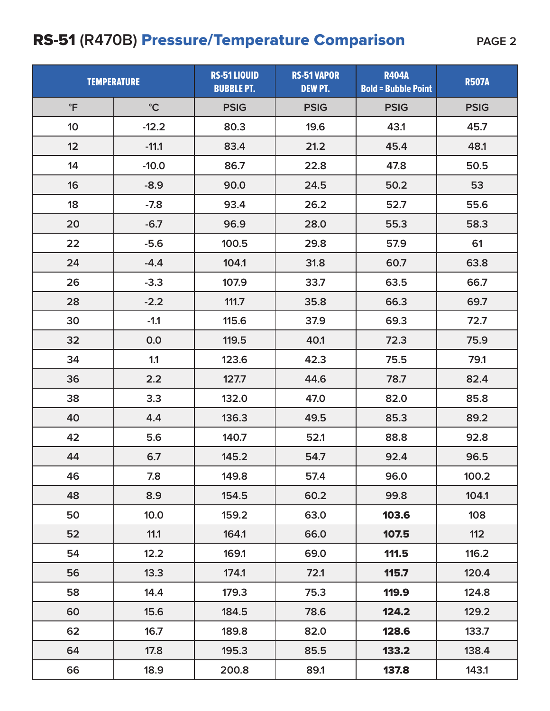### RS-51 (R470B) **Pressure/Temperature Comparison** PAGE 2

| <b>TEMPERATURE</b> |                 | RS-51 LIQUID<br><b>BUBBLE PT.</b> | <b>RS-51 VAPOR</b><br><b>DEW PT.</b> | <b>R404A</b><br><b>Bold = Bubble Point</b> | <b>R507A</b> |
|--------------------|-----------------|-----------------------------------|--------------------------------------|--------------------------------------------|--------------|
| $\mathsf{P}$       | $\rm ^{\circ}C$ | <b>PSIG</b>                       | <b>PSIG</b>                          | <b>PSIG</b>                                | <b>PSIG</b>  |
| 10                 | $-12.2$         | 80.3                              | 19.6                                 | 43.1                                       | 45.7         |
| 12                 | $-11.1$         | 83.4                              | 21.2                                 | 45.4                                       | 48.1         |
| 14                 | $-10.0$         | 86.7                              | 22.8                                 | 47.8                                       | 50.5         |
| 16                 | $-8.9$          | 90.0                              | 24.5                                 | 50.2                                       | 53           |
| 18                 | $-7.8$          | 93.4                              | 26.2                                 | 52.7                                       | 55.6         |
| 20                 | $-6.7$          | 96.9                              | 28.0                                 | 55.3                                       | 58.3         |
| 22                 | $-5.6$          | 100.5                             | 29.8                                 | 57.9                                       | 61           |
| 24                 | $-4.4$          | 104.1                             | 31.8                                 | 60.7                                       | 63.8         |
| 26                 | $-3.3$          | 107.9                             | 33.7                                 | 63.5                                       | 66.7         |
| 28                 | $-2.2$          | 111.7                             | 35.8                                 | 66.3                                       | 69.7         |
| 30                 | $-1.1$          | 115.6                             | 37.9                                 | 69.3                                       | 72.7         |
| 32                 | 0.0             | 119.5                             | 40.1                                 | 72.3                                       | 75.9         |
| 34                 | 1.1             | 123.6                             | 42.3                                 | 75.5                                       | 79.1         |
| 36                 | 2.2             | 127.7                             | 44.6                                 | 78.7                                       | 82.4         |
| 38                 | 3.3             | 132.0                             | 47.0                                 | 82.0                                       | 85.8         |
| 40                 | 4.4             | 136.3                             | 49.5                                 | 85.3                                       | 89.2         |
| 42                 | 5.6             | 140.7                             | 52.1                                 | 88.8                                       | 92.8         |
| 44                 | 6.7             | 145.2                             | 54.7                                 | 92.4                                       | 96.5         |
| 46                 | 7.8             | 149.8                             | 57.4                                 | 96.0                                       | 100.2        |
| 48                 | 8.9             | 154.5                             | 60.2                                 | 99.8                                       | 104.1        |
| 50                 | 10.0            | 159.2                             | 63.0                                 | 103.6                                      | 108          |
| 52                 | 11.1            | 164.1                             | 66.0                                 | 107.5                                      | 112          |
| 54                 | 12.2            | 169.1                             | 69.0                                 | 111.5                                      | 116.2        |
| 56                 | 13.3            | 174.1                             | 72.1                                 | 115.7                                      | 120.4        |
| 58                 | 14.4            | 179.3                             | 75.3                                 | 119.9                                      | 124.8        |
| 60                 | 15.6            | 184.5                             | 78.6                                 | 124.2                                      | 129.2        |
| 62                 | 16.7            | 189.8                             | 82.0                                 | 128.6                                      | 133.7        |
| 64                 | 17.8            | 195.3                             | 85.5                                 | 133.2                                      | 138.4        |
| 66                 | 18.9            | 200.8                             | 89.1                                 | 137.8                                      | 143.1        |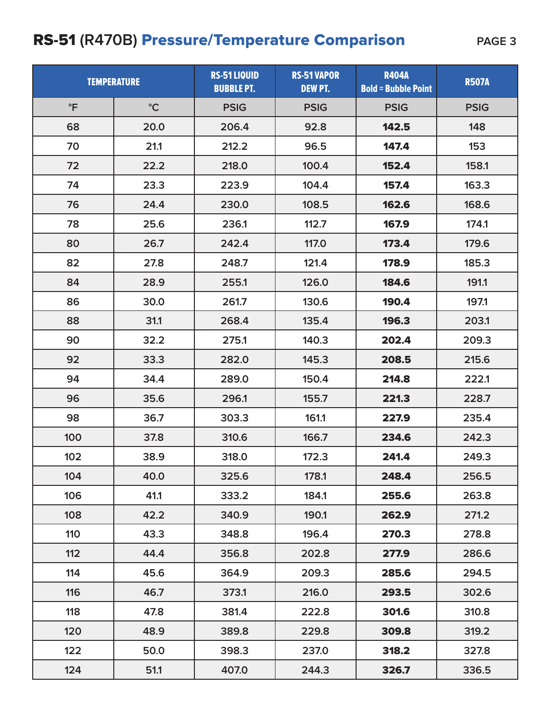#### RS-51 (R470B) **Pressure/Temperature Comparison** PAGE 3

| <b>TEMPERATURE</b> |                 | <b>RS-51 LIQUID</b><br><b>BUBBLE PT.</b> | <b>RS-51 VAPOR</b><br><b>DEW PT.</b> | <b>R404A</b><br><b>Bold = Bubble Point</b> | <b>R507A</b> |
|--------------------|-----------------|------------------------------------------|--------------------------------------|--------------------------------------------|--------------|
| $\mathsf{P}$       | $\rm ^{\circ}C$ | <b>PSIG</b>                              | <b>PSIG</b>                          | <b>PSIG</b>                                | <b>PSIG</b>  |
| 68                 | 20.0            | 206.4                                    | 92.8                                 | 142.5                                      | 148          |
| 70                 | 21.1            | 212.2                                    | 96.5                                 | 147.4                                      | 153          |
| 72                 | 22.2            | 218.0                                    | 100.4                                | 152.4                                      | 158.1        |
| 74                 | 23.3            | 223.9                                    | 104.4                                | 157.4                                      | 163.3        |
| 76                 | 24.4            | 230.0                                    | 108.5                                | 162.6                                      | 168.6        |
| 78                 | 25.6            | 236.1                                    | 112.7                                | 167.9                                      | 174.1        |
| 80                 | 26.7            | 242.4                                    | 117.0                                | 173.4                                      | 179.6        |
| 82                 | 27.8            | 248.7                                    | 121.4                                | 178.9                                      | 185.3        |
| 84                 | 28.9            | 255.1                                    | 126.0                                | 184.6                                      | 191.1        |
| 86                 | 30.0            | 261.7                                    | 130.6                                | 190.4                                      | 197.1        |
| 88                 | 31.1            | 268.4                                    | 135.4                                | 196.3                                      | 203.1        |
| 90                 | 32.2            | 275.1                                    | 140.3                                | 202.4                                      | 209.3        |
| 92                 | 33.3            | 282.0                                    | 145.3                                | 208.5                                      | 215.6        |
| 94                 | 34.4            | 289.0                                    | 150.4                                | 214.8                                      | 222.1        |
| 96                 | 35.6            | 296.1                                    | 155.7                                | 221.3                                      | 228.7        |
| 98                 | 36.7            | 303.3                                    | 161.1                                | 227.9                                      | 235.4        |
| 100                | 37.8            | 310.6                                    | 166.7                                | 234.6                                      | 242.3        |
| 102                | 38.9            | 318.0                                    | 172.3                                | 241.4                                      | 249.3        |
| 104                | 40.0            | 325.6                                    | 178.1                                | 248.4                                      | 256.5        |
| 106                | 41.1            | 333.2                                    | 184.1                                | 255.6                                      | 263.8        |
| 108                | 42.2            | 340.9                                    | 190.1                                | 262.9                                      | 271.2        |
| 110                | 43.3            | 348.8                                    | 196.4                                | 270.3                                      | 278.8        |
| 112                | 44.4            | 356.8                                    | 202.8                                | 277.9                                      | 286.6        |
| 114                | 45.6            | 364.9                                    | 209.3                                | 285.6                                      | 294.5        |
| 116                | 46.7            | 373.1                                    | 216.0                                | 293.5                                      | 302.6        |
| 118                | 47.8            | 381.4                                    | 222.8                                | 301.6                                      | 310.8        |
| 120                | 48.9            | 389.8                                    | 229.8                                | 309.8                                      | 319.2        |
| 122                | 50.0            | 398.3                                    | 237.0                                | 318.2                                      | 327.8        |
| 124                | 51.1            | 407.0                                    | 244.3                                | 326.7                                      | 336.5        |